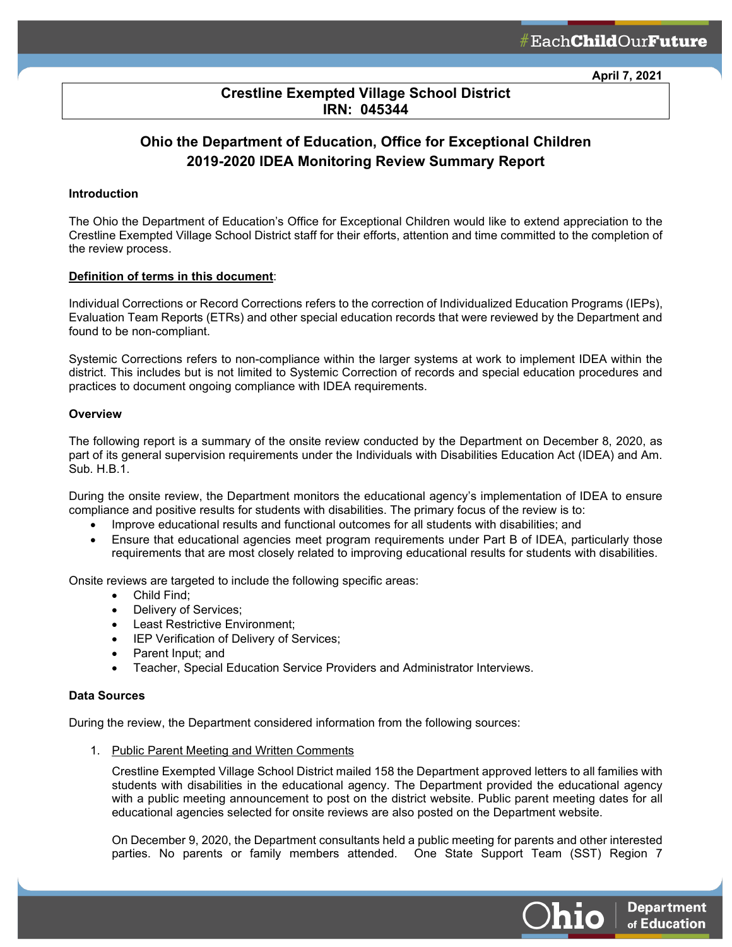**April 7, 2021**

**Department** 

of Education

hio

## **Crestline Exempted Village School District IRN: 045344**

ł

# **Ohio the Department of Education, Office for Exceptional Children 2019-2020 IDEA Monitoring Review Summary Report**

## **Introduction**

The Ohio the Department of Education's Office for Exceptional Children would like to extend appreciation to the Crestline Exempted Village School District staff for their efforts, attention and time committed to the completion of the review process.

## **Definition of terms in this document**:

Individual Corrections or Record Corrections refers to the correction of Individualized Education Programs (IEPs), Evaluation Team Reports (ETRs) and other special education records that were reviewed by the Department and found to be non-compliant.

Systemic Corrections refers to non-compliance within the larger systems at work to implement IDEA within the district. This includes but is not limited to Systemic Correction of records and special education procedures and practices to document ongoing compliance with IDEA requirements.

## **Overview**

The following report is a summary of the onsite review conducted by the Department on December 8, 2020, as part of its general supervision requirements under the Individuals with Disabilities Education Act (IDEA) and Am. Sub. H.B.1.

During the onsite review, the Department monitors the educational agency's implementation of IDEA to ensure compliance and positive results for students with disabilities. The primary focus of the review is to:

- Improve educational results and functional outcomes for all students with disabilities; and
- Ensure that educational agencies meet program requirements under Part B of IDEA, particularly those requirements that are most closely related to improving educational results for students with disabilities.

Onsite reviews are targeted to include the following specific areas:

- Child Find;
- Delivery of Services;
- Least Restrictive Environment;
- IEP Verification of Delivery of Services;
- Parent Input; and
- Teacher, Special Education Service Providers and Administrator Interviews.

## **Data Sources**

During the review, the Department considered information from the following sources:

1. Public Parent Meeting and Written Comments

Crestline Exempted Village School District mailed 158 the Department approved letters to all families with students with disabilities in the educational agency. The Department provided the educational agency with a public meeting announcement to post on the district website. Public parent meeting dates for all educational agencies selected for onsite reviews are also posted on the Department website.

On December 9, 2020, the Department consultants held a public meeting for parents and other interested parties. No parents or family members attended. One State Support Team (SST) Region 7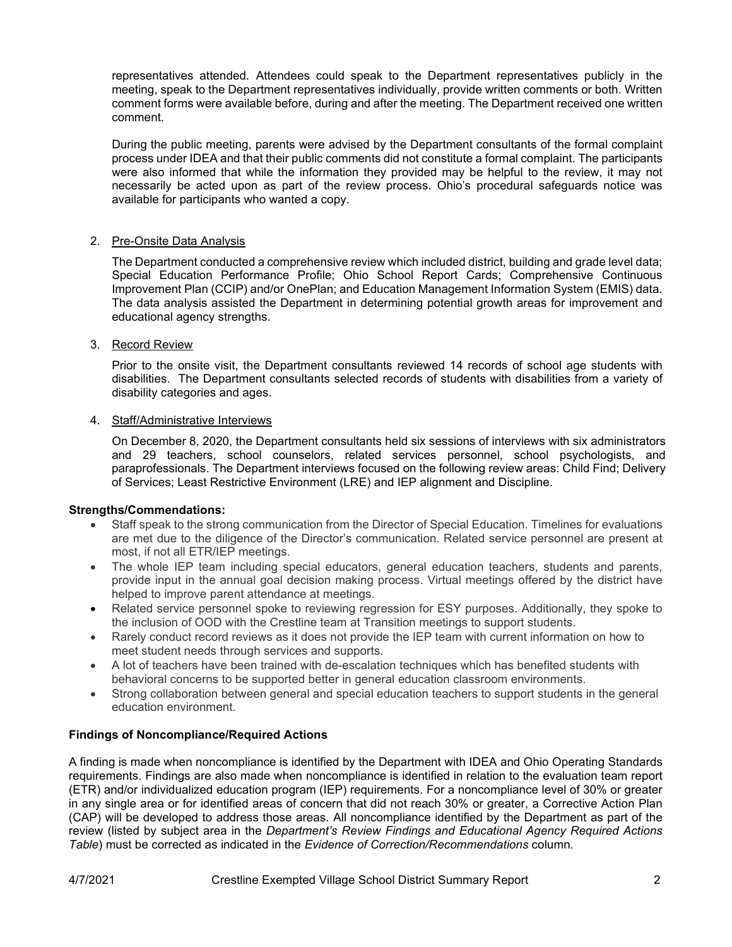representatives attended. Attendees could speak to the Department representatives publicly in the meeting, speak to the Department representatives individually, provide written comments or both. Written comment forms were available before, during and after the meeting. The Department received one written comment.

During the public meeting, parents were advised by the Department consultants of the formal complaint process under IDEA and that their public comments did not constitute a formal complaint. The participants were also informed that while the information they provided may be helpful to the review, it may not necessarily be acted upon as part of the review process. Ohio's procedural safeguards notice was available for participants who wanted a copy.

## 2. Pre-Onsite Data Analysis

The Department conducted a comprehensive review which included district, building and grade level data; Special Education Performance Profile; Ohio School Report Cards; Comprehensive Continuous Improvement Plan (CCIP) and/or OnePlan; and Education Management Information System (EMIS) data. The data analysis assisted the Department in determining potential growth areas for improvement and educational agency strengths.

## 3. Record Review

Prior to the onsite visit, the Department consultants reviewed 14 records of school age students with disabilities. The Department consultants selected records of students with disabilities from a variety of disability categories and ages.

## 4. Staff/Administrative Interviews

On December 8, 2020, the Department consultants held six sessions of interviews with six administrators and 29 teachers, school counselors, related services personnel, school psychologists, and paraprofessionals. The Department interviews focused on the following review areas: Child Find; Delivery of Services; Least Restrictive Environment (LRE) and IEP alignment and Discipline.

## **Strengths/Commendations:**

- Staff speak to the strong communication from the Director of Special Education. Timelines for evaluations are met due to the diligence of the Director's communication. Related service personnel are present at most, if not all ETR/IEP meetings.
- The whole IEP team including special educators, general education teachers, students and parents, provide input in the annual goal decision making process. Virtual meetings offered by the district have helped to improve parent attendance at meetings.
- Related service personnel spoke to reviewing regression for ESY purposes. Additionally, they spoke to the inclusion of OOD with the Crestline team at Transition meetings to support students.
- Rarely conduct record reviews as it does not provide the IEP team with current information on how to meet student needs through services and supports.
- A lot of teachers have been trained with de-escalation techniques which has benefited students with behavioral concerns to be supported better in general education classroom environments.
- Strong collaboration between general and special education teachers to support students in the general education environment.

## **Findings of Noncompliance/Required Actions**

A finding is made when noncompliance is identified by the Department with IDEA and Ohio Operating Standards requirements. Findings are also made when noncompliance is identified in relation to the evaluation team report (ETR) and/or individualized education program (IEP) requirements. For a noncompliance level of 30% or greater in any single area or for identified areas of concern that did not reach 30% or greater, a Corrective Action Plan (CAP) will be developed to address those areas. All noncompliance identified by the Department as part of the review (listed by subject area in the *Department's Review Findings and Educational Agency Required Actions Table*) must be corrected as indicated in the *Evidence of Correction/Recommendations* column.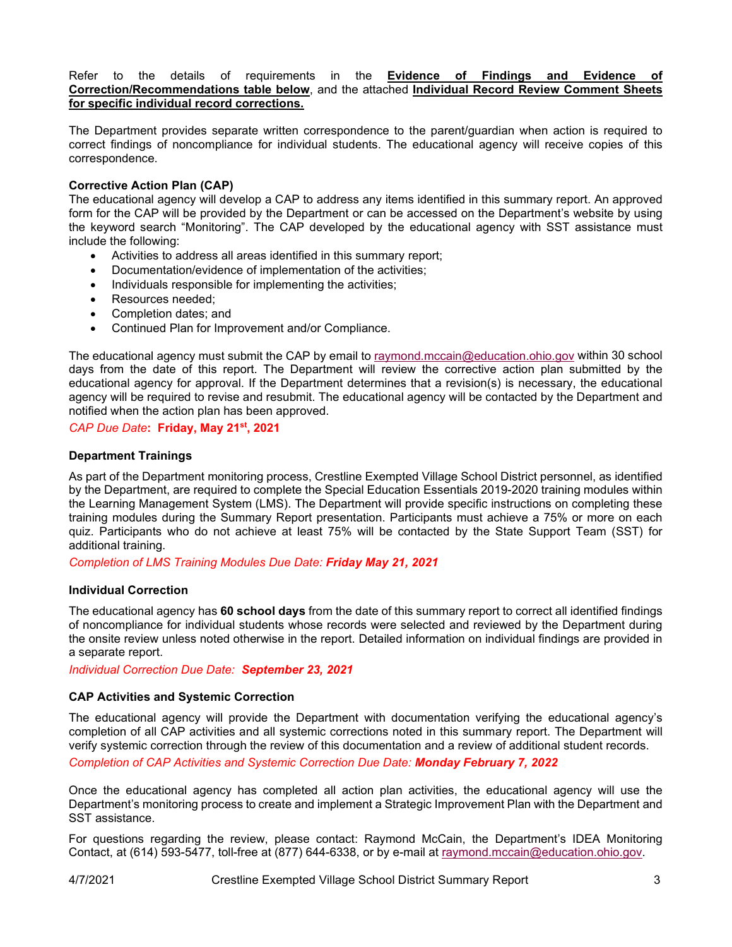Refer to the details of requirements in the **Evidence of Findings and Evidence of Correction/Recommendations table below**, and the attached **Individual Record Review Comment Sheets for specific individual record corrections.**

The Department provides separate written correspondence to the parent/guardian when action is required to correct findings of noncompliance for individual students. The educational agency will receive copies of this correspondence.

## **Corrective Action Plan (CAP)**

The educational agency will develop a CAP to address any items identified in this summary report. An approved form for the CAP will be provided by the Department or can be accessed on the Department's website by using the keyword search "Monitoring". The CAP developed by the educational agency with SST assistance must include the following:

- Activities to address all areas identified in this summary report;
- Documentation/evidence of implementation of the activities;
- Individuals responsible for implementing the activities;
- Resources needed:
- Completion dates; and
- Continued Plan for Improvement and/or Compliance.

The educational agency must submit the CAP by email to [raymond.mccain@education.ohio.gov](mailto:raymond.mccain@education.ohio.gov) within 30 school days from the date of this report. The Department will review the corrective action plan submitted by the educational agency for approval. If the Department determines that a revision(s) is necessary, the educational agency will be required to revise and resubmit. The educational agency will be contacted by the Department and notified when the action plan has been approved.

## *CAP Due Date***: Friday, May 21st, 2021**

## **Department Trainings**

As part of the Department monitoring process, Crestline Exempted Village School District personnel, as identified by the Department, are required to complete the Special Education Essentials 2019-2020 training modules within the Learning Management System (LMS). The Department will provide specific instructions on completing these training modules during the Summary Report presentation. Participants must achieve a 75% or more on each quiz. Participants who do not achieve at least 75% will be contacted by the State Support Team (SST) for additional training.

*Completion of LMS Training Modules Due Date: Friday May 21, 2021*

## **Individual Correction**

The educational agency has **60 school days** from the date of this summary report to correct all identified findings of noncompliance for individual students whose records were selected and reviewed by the Department during the onsite review unless noted otherwise in the report. Detailed information on individual findings are provided in a separate report.

*Individual Correction Due Date: September 23, 2021*

## **CAP Activities and Systemic Correction**

The educational agency will provide the Department with documentation verifying the educational agency's completion of all CAP activities and all systemic corrections noted in this summary report. The Department will verify systemic correction through the review of this documentation and a review of additional student records.

*Completion of CAP Activities and Systemic Correction Due Date: Monday February 7, 2022*

Once the educational agency has completed all action plan activities, the educational agency will use the Department's monitoring process to create and implement a Strategic Improvement Plan with the Department and SST assistance.

For questions regarding the review, please contact: Raymond McCain, the Department's IDEA Monitoring Contact, at (614) 593-5477, toll-free at (877) 644-6338, or by e-mail at [raymond.mccain@education.ohio.gov.](mailto:raymond.mccain@education.ohio.gov)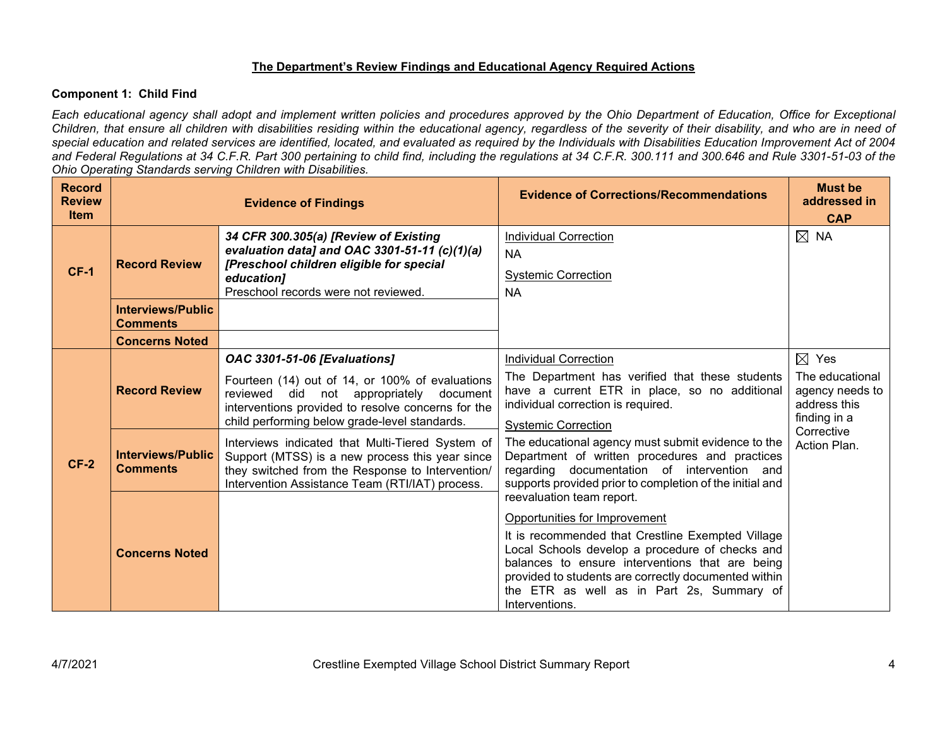## **The Department's Review Findings and Educational Agency Required Actions**

## **Component 1: Child Find**

*Each educational agency shall adopt and implement written policies and procedures approved by the Ohio Department of Education, Office for Exceptional Children, that ensure all children with disabilities residing within the educational agency, regardless of the severity of their disability, and who are in need of special education and related services are identified, located, and evaluated as required by the Individuals with Disabilities Education Improvement Act of 2004 and Federal Regulations at 34 C.F.R. Part 300 pertaining to child find, including the regulations at 34 C.F.R. 300.111 and 300.646 and Rule 3301-51-03 of the Ohio Operating Standards serving Children with Disabilities.* 

| <b>Record</b><br><b>Review</b><br><b>Item</b> |                                                                     | <b>Evidence of Findings</b>                                                                                                                                                                                                              | <b>Evidence of Corrections/Recommendations</b>                                                                                                                                                                                                                                                                  | <b>Must be</b><br>addressed in<br><b>CAP</b>                                          |
|-----------------------------------------------|---------------------------------------------------------------------|------------------------------------------------------------------------------------------------------------------------------------------------------------------------------------------------------------------------------------------|-----------------------------------------------------------------------------------------------------------------------------------------------------------------------------------------------------------------------------------------------------------------------------------------------------------------|---------------------------------------------------------------------------------------|
| $CF-1$                                        | <b>Record Review</b><br><b>Interviews/Public</b><br><b>Comments</b> | 34 CFR 300.305(a) [Review of Existing<br>evaluation data] and OAC 3301-51-11 (c)(1)(a)<br>[Preschool children eligible for special<br>education]<br>Preschool records were not reviewed.                                                 | <b>Individual Correction</b><br><b>NA</b><br><b>Systemic Correction</b><br><b>NA</b>                                                                                                                                                                                                                            | $\boxtimes$ NA                                                                        |
|                                               | <b>Concerns Noted</b>                                               |                                                                                                                                                                                                                                          |                                                                                                                                                                                                                                                                                                                 |                                                                                       |
|                                               | <b>Record Review</b>                                                | <b>OAC 3301-51-06 [Evaluations]</b><br>Fourteen (14) out of 14, or 100% of evaluations<br>reviewed did not appropriately document<br>interventions provided to resolve concerns for the<br>child performing below grade-level standards. | <b>Individual Correction</b><br>The Department has verified that these students<br>have a current ETR in place, so no additional<br>individual correction is required.<br><b>Systemic Correction</b>                                                                                                            | $\boxtimes$ Yes<br>The educational<br>agency needs to<br>address this<br>finding in a |
| $CF-2$                                        | <b>Interviews/Public</b><br><b>Comments</b>                         | Interviews indicated that Multi-Tiered System of<br>Support (MTSS) is a new process this year since<br>they switched from the Response to Intervention/<br>Intervention Assistance Team (RTI/IAT) process.                               | The educational agency must submit evidence to the<br>Department of written procedures and practices<br>regarding documentation of intervention and<br>supports provided prior to completion of the initial and<br>reevaluation team report.                                                                    | Corrective<br>Action Plan.                                                            |
|                                               | <b>Concerns Noted</b>                                               |                                                                                                                                                                                                                                          | Opportunities for Improvement<br>It is recommended that Crestline Exempted Village<br>Local Schools develop a procedure of checks and<br>balances to ensure interventions that are being<br>provided to students are correctly documented within<br>the ETR as well as in Part 2s, Summary of<br>Interventions. |                                                                                       |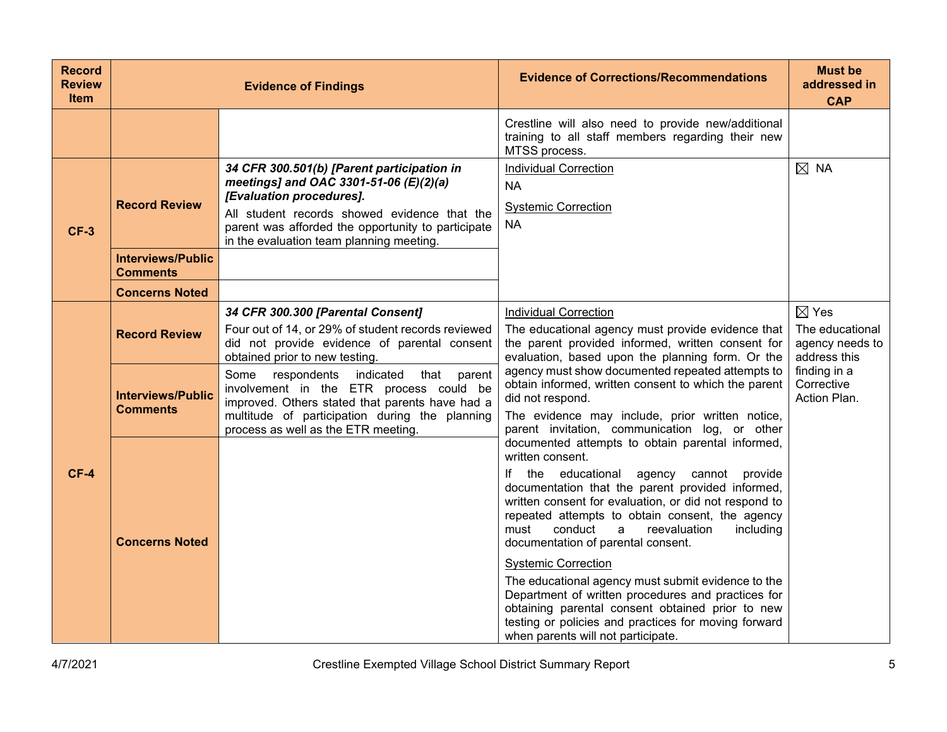| <b>Record</b><br><b>Review</b><br><b>Item</b> |                                             | <b>Evidence of Findings</b>                                                                                                                                                                                                                                        | <b>Evidence of Corrections/Recommendations</b>                                                                                                                                                                                                                                                                                                                                                                                                                                                                                                                                                                                                                             | <b>Must be</b><br>addressed in<br><b>CAP</b>                          |
|-----------------------------------------------|---------------------------------------------|--------------------------------------------------------------------------------------------------------------------------------------------------------------------------------------------------------------------------------------------------------------------|----------------------------------------------------------------------------------------------------------------------------------------------------------------------------------------------------------------------------------------------------------------------------------------------------------------------------------------------------------------------------------------------------------------------------------------------------------------------------------------------------------------------------------------------------------------------------------------------------------------------------------------------------------------------------|-----------------------------------------------------------------------|
|                                               |                                             |                                                                                                                                                                                                                                                                    | Crestline will also need to provide new/additional<br>training to all staff members regarding their new<br>MTSS process.                                                                                                                                                                                                                                                                                                                                                                                                                                                                                                                                                   |                                                                       |
| $CF-3$                                        | <b>Record Review</b>                        | 34 CFR 300.501(b) [Parent participation in<br>meetings] and OAC 3301-51-06 (E)(2)(a)<br>[Evaluation procedures].<br>All student records showed evidence that the<br>parent was afforded the opportunity to participate<br>in the evaluation team planning meeting. | <b>Individual Correction</b><br><b>NA</b><br><b>Systemic Correction</b><br><b>NA</b>                                                                                                                                                                                                                                                                                                                                                                                                                                                                                                                                                                                       | $\boxtimes$ NA                                                        |
|                                               | <b>Interviews/Public</b><br>Comments        |                                                                                                                                                                                                                                                                    |                                                                                                                                                                                                                                                                                                                                                                                                                                                                                                                                                                                                                                                                            |                                                                       |
|                                               | <b>Concerns Noted</b>                       |                                                                                                                                                                                                                                                                    |                                                                                                                                                                                                                                                                                                                                                                                                                                                                                                                                                                                                                                                                            |                                                                       |
|                                               | <b>Record Review</b>                        | 34 CFR 300.300 [Parental Consent]<br>Four out of 14, or 29% of student records reviewed<br>did not provide evidence of parental consent<br>obtained prior to new testing.                                                                                          | <b>Individual Correction</b><br>The educational agency must provide evidence that<br>the parent provided informed, written consent for<br>evaluation, based upon the planning form. Or the                                                                                                                                                                                                                                                                                                                                                                                                                                                                                 | $\boxtimes$ Yes<br>The educational<br>agency needs to<br>address this |
|                                               | <b>Interviews/Public</b><br><b>Comments</b> | Some<br>respondents<br>indicated<br>that<br>parent<br>involvement in the ETR process could be<br>improved. Others stated that parents have had a<br>multitude of participation during the planning<br>process as well as the ETR meeting.                          | agency must show documented repeated attempts to<br>obtain informed, written consent to which the parent<br>did not respond.<br>The evidence may include, prior written notice,<br>parent invitation, communication log, or other                                                                                                                                                                                                                                                                                                                                                                                                                                          | finding in a<br>Corrective<br>Action Plan.                            |
| $CF-4$                                        | <b>Concerns Noted</b>                       |                                                                                                                                                                                                                                                                    | documented attempts to obtain parental informed,<br>written consent.<br>If the educational<br>agency cannot provide<br>documentation that the parent provided informed,<br>written consent for evaluation, or did not respond to<br>repeated attempts to obtain consent, the agency<br>conduct<br>reevaluation<br>including<br>must<br>a<br>documentation of parental consent.<br><b>Systemic Correction</b><br>The educational agency must submit evidence to the<br>Department of written procedures and practices for<br>obtaining parental consent obtained prior to new<br>testing or policies and practices for moving forward<br>when parents will not participate. |                                                                       |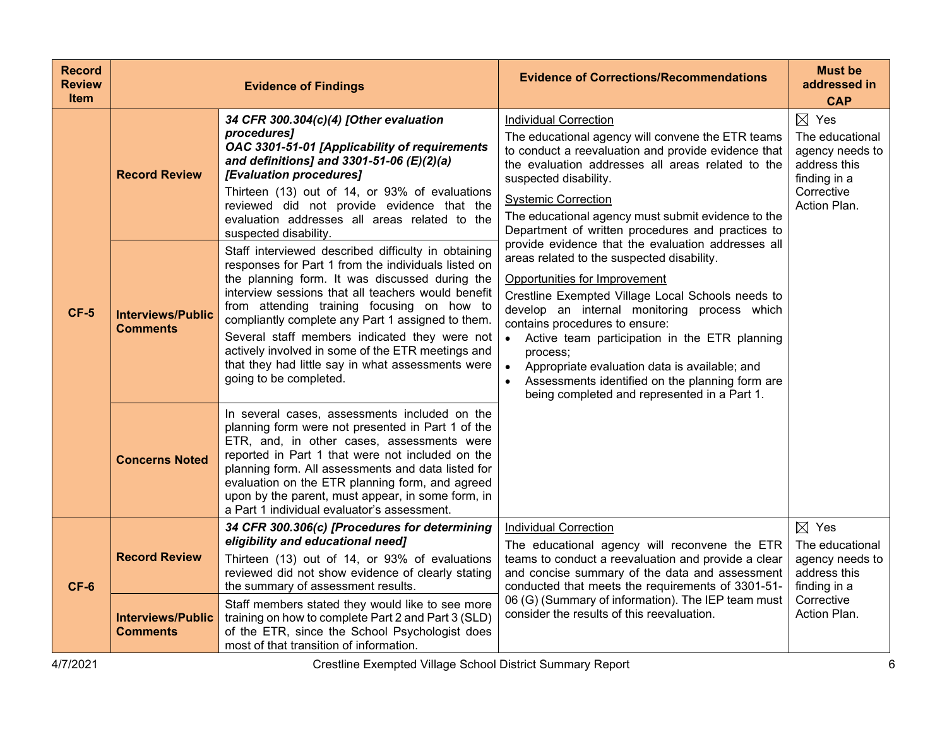| <b>Record</b><br><b>Review</b><br><b>Item</b> |                                             | <b>Evidence of Findings</b>                                                                                                                                                                                                                                                                                                                                                                                                                                                                                | <b>Evidence of Corrections/Recommendations</b>                                                                                                                                                                                                                                                                                                                                                                                                                                                                        | <b>Must be</b><br>addressed in<br><b>CAP</b>                                                                        |
|-----------------------------------------------|---------------------------------------------|------------------------------------------------------------------------------------------------------------------------------------------------------------------------------------------------------------------------------------------------------------------------------------------------------------------------------------------------------------------------------------------------------------------------------------------------------------------------------------------------------------|-----------------------------------------------------------------------------------------------------------------------------------------------------------------------------------------------------------------------------------------------------------------------------------------------------------------------------------------------------------------------------------------------------------------------------------------------------------------------------------------------------------------------|---------------------------------------------------------------------------------------------------------------------|
|                                               | <b>Record Review</b>                        | 34 CFR 300.304(c)(4) [Other evaluation<br>procedures]<br>OAC 3301-51-01 [Applicability of requirements<br>and definitions] and 3301-51-06 $(E)(2)(a)$<br>[Evaluation procedures]<br>Thirteen (13) out of 14, or 93% of evaluations<br>reviewed did not provide evidence that the<br>evaluation addresses all areas related to the<br>suspected disability.                                                                                                                                                 | <b>Individual Correction</b><br>The educational agency will convene the ETR teams<br>to conduct a reevaluation and provide evidence that<br>the evaluation addresses all areas related to the<br>suspected disability.<br><b>Systemic Correction</b><br>The educational agency must submit evidence to the<br>Department of written procedures and practices to                                                                                                                                                       | $\boxtimes$ Yes<br>The educational<br>agency needs to<br>address this<br>finding in a<br>Corrective<br>Action Plan. |
| $CF-5$                                        | <b>Interviews/Public</b><br><b>Comments</b> | Staff interviewed described difficulty in obtaining<br>responses for Part 1 from the individuals listed on<br>the planning form. It was discussed during the<br>interview sessions that all teachers would benefit<br>from attending training focusing on how to<br>compliantly complete any Part 1 assigned to them.<br>Several staff members indicated they were not<br>actively involved in some of the ETR meetings and<br>that they had little say in what assessments were<br>going to be completed. | provide evidence that the evaluation addresses all<br>areas related to the suspected disability.<br>Opportunities for Improvement<br>Crestline Exempted Village Local Schools needs to<br>develop an internal monitoring process which<br>contains procedures to ensure:<br>• Active team participation in the ETR planning<br>process;<br>Appropriate evaluation data is available; and<br>$\bullet$<br>Assessments identified on the planning form are<br>$\bullet$<br>being completed and represented in a Part 1. |                                                                                                                     |
|                                               | <b>Concerns Noted</b>                       | In several cases, assessments included on the<br>planning form were not presented in Part 1 of the<br>ETR, and, in other cases, assessments were<br>reported in Part 1 that were not included on the<br>planning form. All assessments and data listed for<br>evaluation on the ETR planning form, and agreed<br>upon by the parent, must appear, in some form, in<br>a Part 1 individual evaluator's assessment.                                                                                          |                                                                                                                                                                                                                                                                                                                                                                                                                                                                                                                       |                                                                                                                     |
| $CF-6$                                        | <b>Record Review</b>                        | 34 CFR 300.306(c) [Procedures for determining<br>eligibility and educational need]<br>Thirteen (13) out of 14, or 93% of evaluations<br>reviewed did not show evidence of clearly stating<br>the summary of assessment results.                                                                                                                                                                                                                                                                            | <b>Individual Correction</b><br>The educational agency will reconvene the ETR<br>teams to conduct a reevaluation and provide a clear<br>and concise summary of the data and assessment<br>conducted that meets the requirements of 3301-51-                                                                                                                                                                                                                                                                           | $\boxtimes$ Yes<br>The educational<br>agency needs to<br>address this<br>finding in a                               |
|                                               | <b>Interviews/Public</b><br><b>Comments</b> | Staff members stated they would like to see more<br>training on how to complete Part 2 and Part 3 (SLD)<br>of the ETR, since the School Psychologist does<br>most of that transition of information.                                                                                                                                                                                                                                                                                                       | 06 (G) (Summary of information). The IEP team must<br>consider the results of this reevaluation.                                                                                                                                                                                                                                                                                                                                                                                                                      | Corrective<br>Action Plan.                                                                                          |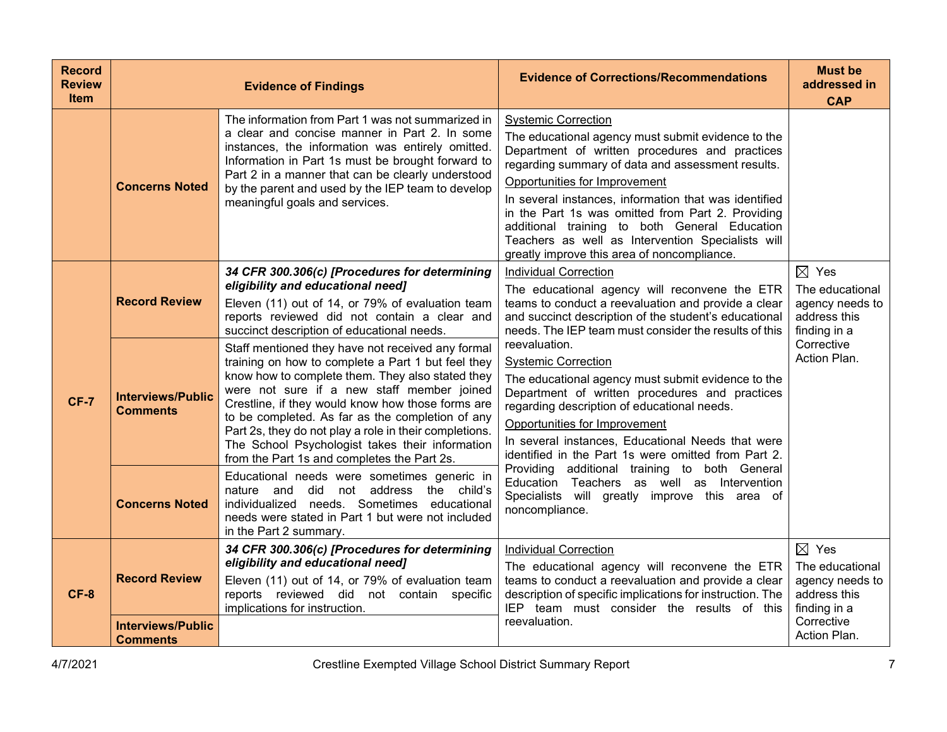| <b>Record</b><br><b>Review</b><br><b>Item</b> |                                             | <b>Evidence of Findings</b>                                                                                                                                                                                                                                                                                                                                                                                                                                                    | <b>Evidence of Corrections/Recommendations</b>                                                                                                                                                                                                                                                                                                                                                                                                                                              | <b>Must be</b><br>addressed in<br><b>CAP</b>                                                        |
|-----------------------------------------------|---------------------------------------------|--------------------------------------------------------------------------------------------------------------------------------------------------------------------------------------------------------------------------------------------------------------------------------------------------------------------------------------------------------------------------------------------------------------------------------------------------------------------------------|---------------------------------------------------------------------------------------------------------------------------------------------------------------------------------------------------------------------------------------------------------------------------------------------------------------------------------------------------------------------------------------------------------------------------------------------------------------------------------------------|-----------------------------------------------------------------------------------------------------|
|                                               | <b>Concerns Noted</b>                       | The information from Part 1 was not summarized in<br>a clear and concise manner in Part 2. In some<br>instances, the information was entirely omitted.<br>Information in Part 1s must be brought forward to<br>Part 2 in a manner that can be clearly understood<br>by the parent and used by the IEP team to develop<br>meaningful goals and services.                                                                                                                        | <b>Systemic Correction</b><br>The educational agency must submit evidence to the<br>Department of written procedures and practices<br>regarding summary of data and assessment results.<br>Opportunities for Improvement<br>In several instances, information that was identified<br>in the Part 1s was omitted from Part 2. Providing<br>additional training to both General Education<br>Teachers as well as Intervention Specialists will<br>greatly improve this area of noncompliance. |                                                                                                     |
|                                               | <b>Record Review</b>                        | 34 CFR 300.306(c) [Procedures for determining<br>eligibility and educational need]<br>Eleven (11) out of 14, or 79% of evaluation team<br>reports reviewed did not contain a clear and<br>succinct description of educational needs.                                                                                                                                                                                                                                           | <b>Individual Correction</b><br>The educational agency will reconvene the ETR<br>teams to conduct a reevaluation and provide a clear<br>and succinct description of the student's educational<br>needs. The IEP team must consider the results of this<br>reevaluation.                                                                                                                                                                                                                     | $\boxtimes$ Yes<br>The educational<br>agency needs to<br>address this<br>finding in a<br>Corrective |
| <b>CF-7</b>                                   | <b>Interviews/Public</b><br><b>Comments</b> | Staff mentioned they have not received any formal<br>training on how to complete a Part 1 but feel they<br>know how to complete them. They also stated they<br>were not sure if a new staff member joined<br>Crestline, if they would know how those forms are<br>to be completed. As far as the completion of any<br>Part 2s, they do not play a role in their completions.<br>The School Psychologist takes their information<br>from the Part 1s and completes the Part 2s. | <b>Systemic Correction</b><br>The educational agency must submit evidence to the<br>Department of written procedures and practices<br>regarding description of educational needs.<br>Opportunities for Improvement<br>In several instances, Educational Needs that were<br>identified in the Part 1s were omitted from Part 2.                                                                                                                                                              | Action Plan.                                                                                        |
|                                               | <b>Concerns Noted</b>                       | Educational needs were sometimes generic in<br>nature and did not address the child's<br>individualized needs. Sometimes educational<br>needs were stated in Part 1 but were not included<br>in the Part 2 summary.                                                                                                                                                                                                                                                            | Providing additional training to both General<br>Education Teachers as well as Intervention<br>Specialists will greatly improve this area of<br>noncompliance.                                                                                                                                                                                                                                                                                                                              |                                                                                                     |
| $CF-8$                                        | <b>Record Review</b>                        | 34 CFR 300.306(c) [Procedures for determining<br>eligibility and educational need]<br>Eleven (11) out of 14, or 79% of evaluation team<br>reports reviewed did not contain specific<br>implications for instruction.                                                                                                                                                                                                                                                           | <b>Individual Correction</b><br>The educational agency will reconvene the ETR<br>teams to conduct a reevaluation and provide a clear<br>description of specific implications for instruction. The<br>IEP team must consider the results of this                                                                                                                                                                                                                                             | $\boxtimes$ Yes<br>The educational<br>agency needs to<br>address this<br>finding in a               |
|                                               | <b>Interviews/Public</b><br><b>Comments</b> |                                                                                                                                                                                                                                                                                                                                                                                                                                                                                | reevaluation.                                                                                                                                                                                                                                                                                                                                                                                                                                                                               | Corrective<br>Action Plan.                                                                          |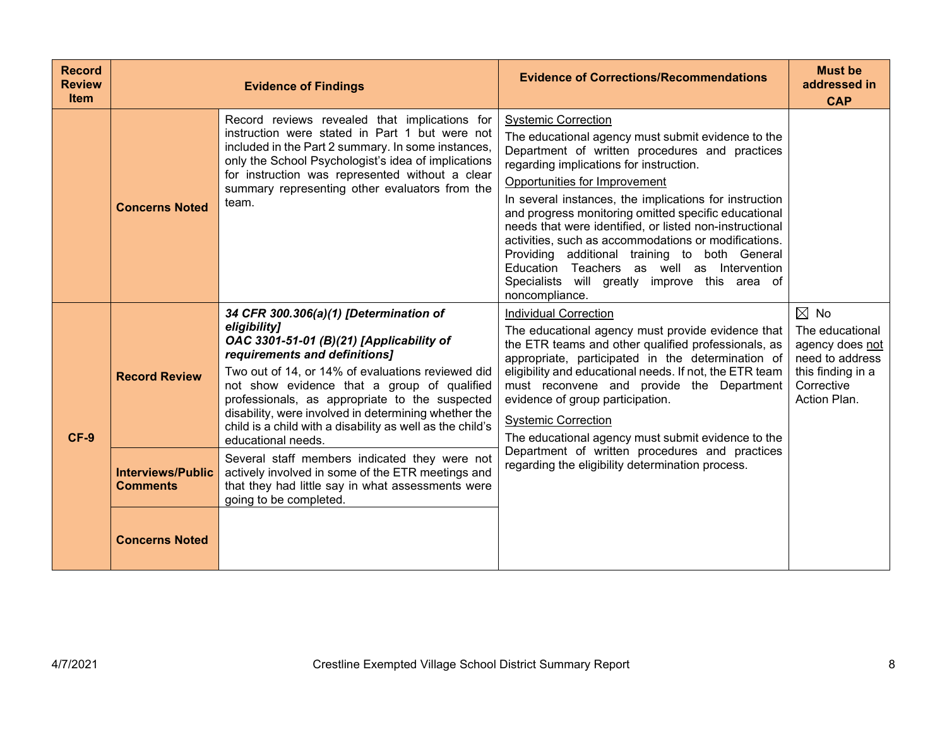| <b>Record</b><br><b>Review</b><br><b>Item</b> |                                             | <b>Evidence of Findings</b>                                                                                                                                                                                                                                                                                                                                                                                                          | <b>Evidence of Corrections/Recommendations</b>                                                                                                                                                                                                                                                                                                                                                                                                                                                                                                                                                                        | <b>Must be</b><br>addressed in<br><b>CAP</b>                                                                               |
|-----------------------------------------------|---------------------------------------------|--------------------------------------------------------------------------------------------------------------------------------------------------------------------------------------------------------------------------------------------------------------------------------------------------------------------------------------------------------------------------------------------------------------------------------------|-----------------------------------------------------------------------------------------------------------------------------------------------------------------------------------------------------------------------------------------------------------------------------------------------------------------------------------------------------------------------------------------------------------------------------------------------------------------------------------------------------------------------------------------------------------------------------------------------------------------------|----------------------------------------------------------------------------------------------------------------------------|
|                                               | <b>Concerns Noted</b>                       | Record reviews revealed that implications for<br>instruction were stated in Part 1 but were not<br>included in the Part 2 summary. In some instances,<br>only the School Psychologist's idea of implications<br>for instruction was represented without a clear<br>summary representing other evaluators from the<br>team.                                                                                                           | <b>Systemic Correction</b><br>The educational agency must submit evidence to the<br>Department of written procedures and practices<br>regarding implications for instruction.<br>Opportunities for Improvement<br>In several instances, the implications for instruction<br>and progress monitoring omitted specific educational<br>needs that were identified, or listed non-instructional<br>activities, such as accommodations or modifications.<br>Providing additional training to both General<br>Education Teachers as well as Intervention<br>Specialists will greatly improve this area of<br>noncompliance. |                                                                                                                            |
| $CF-9$                                        | <b>Record Review</b>                        | 34 CFR 300.306(a)(1) [Determination of<br>eligibility]<br>OAC 3301-51-01 (B)(21) [Applicability of<br>requirements and definitions]<br>Two out of 14, or 14% of evaluations reviewed did<br>not show evidence that a group of qualified<br>professionals, as appropriate to the suspected<br>disability, were involved in determining whether the<br>child is a child with a disability as well as the child's<br>educational needs. | <b>Individual Correction</b><br>The educational agency must provide evidence that<br>the ETR teams and other qualified professionals, as<br>appropriate, participated in the determination of<br>eligibility and educational needs. If not, the ETR team<br>must reconvene and provide the Department<br>evidence of group participation.<br><b>Systemic Correction</b><br>The educational agency must submit evidence to the                                                                                                                                                                                         | $\boxtimes$ No<br>The educational<br>agency does not<br>need to address<br>this finding in a<br>Corrective<br>Action Plan. |
|                                               | <b>Interviews/Public</b><br><b>Comments</b> | Several staff members indicated they were not<br>actively involved in some of the ETR meetings and<br>that they had little say in what assessments were<br>going to be completed.                                                                                                                                                                                                                                                    | Department of written procedures and practices<br>regarding the eligibility determination process.                                                                                                                                                                                                                                                                                                                                                                                                                                                                                                                    |                                                                                                                            |
|                                               | <b>Concerns Noted</b>                       |                                                                                                                                                                                                                                                                                                                                                                                                                                      |                                                                                                                                                                                                                                                                                                                                                                                                                                                                                                                                                                                                                       |                                                                                                                            |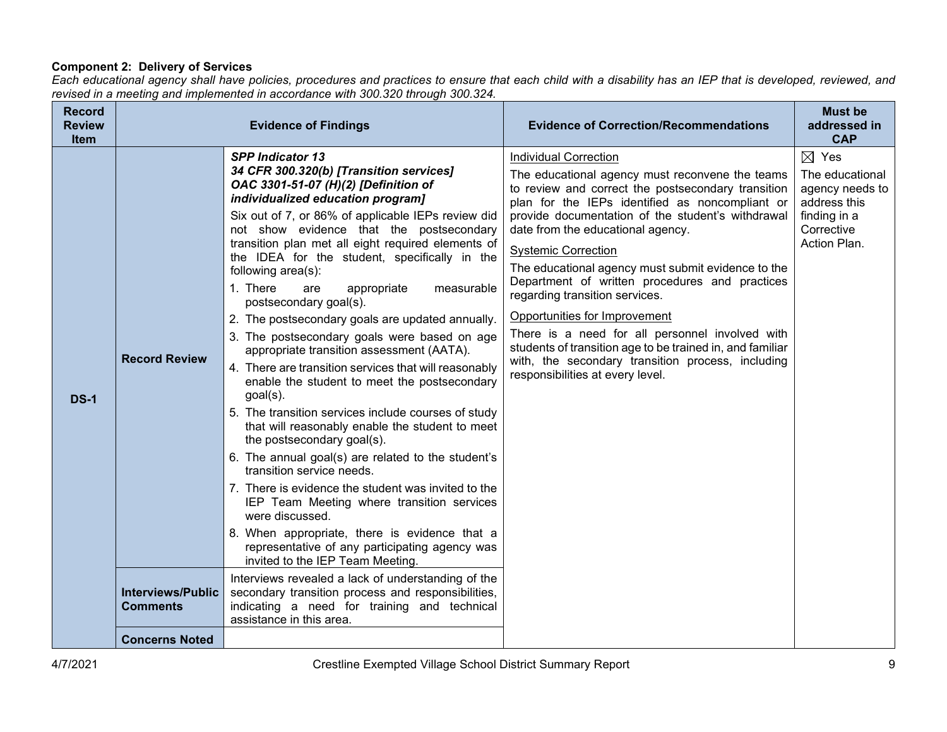## **Component 2: Delivery of Services**

*Each educational agency shall have policies, procedures and practices to ensure that each child with a disability has an IEP that is developed, reviewed, and revised in a meeting and implemented in accordance with 300.320 through 300.324.*

| <b>Record</b><br><b>Review</b><br>Item |                                             | <b>Evidence of Findings</b>                                                                                                                                                                                                                                                                                                                                                                                                                                                                                                                                                                                                                                                                                                                                                                                                                                                                                                                                                                                                                                                                                                                                                                                                 | <b>Evidence of Correction/Recommendations</b>                                                                                                                                                                                                                                                                                                                                                                                                                                                                                                                                                                                                                                                        | <b>Must be</b><br>addressed in<br><b>CAP</b>                                                                        |
|----------------------------------------|---------------------------------------------|-----------------------------------------------------------------------------------------------------------------------------------------------------------------------------------------------------------------------------------------------------------------------------------------------------------------------------------------------------------------------------------------------------------------------------------------------------------------------------------------------------------------------------------------------------------------------------------------------------------------------------------------------------------------------------------------------------------------------------------------------------------------------------------------------------------------------------------------------------------------------------------------------------------------------------------------------------------------------------------------------------------------------------------------------------------------------------------------------------------------------------------------------------------------------------------------------------------------------------|------------------------------------------------------------------------------------------------------------------------------------------------------------------------------------------------------------------------------------------------------------------------------------------------------------------------------------------------------------------------------------------------------------------------------------------------------------------------------------------------------------------------------------------------------------------------------------------------------------------------------------------------------------------------------------------------------|---------------------------------------------------------------------------------------------------------------------|
| <b>DS-1</b>                            | <b>Record Review</b>                        | <b>SPP Indicator 13</b><br>34 CFR 300.320(b) [Transition services]<br>OAC 3301-51-07 (H)(2) [Definition of<br>individualized education program]<br>Six out of 7, or 86% of applicable IEPs review did<br>not show evidence that the postsecondary<br>transition plan met all eight required elements of<br>the IDEA for the student, specifically in the<br>following area(s):<br>1. There<br>appropriate<br>measurable<br>are<br>postsecondary goal(s).<br>2. The postsecondary goals are updated annually.<br>3. The postsecondary goals were based on age<br>appropriate transition assessment (AATA).<br>4. There are transition services that will reasonably<br>enable the student to meet the postsecondary<br>$goal(s)$ .<br>5. The transition services include courses of study<br>that will reasonably enable the student to meet<br>the postsecondary goal(s).<br>6. The annual goal(s) are related to the student's<br>transition service needs.<br>7. There is evidence the student was invited to the<br>IEP Team Meeting where transition services<br>were discussed.<br>8. When appropriate, there is evidence that a<br>representative of any participating agency was<br>invited to the IEP Team Meeting. | <b>Individual Correction</b><br>The educational agency must reconvene the teams<br>to review and correct the postsecondary transition<br>plan for the IEPs identified as noncompliant or<br>provide documentation of the student's withdrawal<br>date from the educational agency.<br><b>Systemic Correction</b><br>The educational agency must submit evidence to the<br>Department of written procedures and practices<br>regarding transition services.<br>Opportunities for Improvement<br>There is a need for all personnel involved with<br>students of transition age to be trained in, and familiar<br>with, the secondary transition process, including<br>responsibilities at every level. | $\boxtimes$ Yes<br>The educational<br>agency needs to<br>address this<br>finding in a<br>Corrective<br>Action Plan. |
|                                        | <b>Interviews/Public</b><br><b>Comments</b> | Interviews revealed a lack of understanding of the<br>secondary transition process and responsibilities,<br>indicating a need for training and technical<br>assistance in this area.                                                                                                                                                                                                                                                                                                                                                                                                                                                                                                                                                                                                                                                                                                                                                                                                                                                                                                                                                                                                                                        |                                                                                                                                                                                                                                                                                                                                                                                                                                                                                                                                                                                                                                                                                                      |                                                                                                                     |
|                                        | <b>Concerns Noted</b>                       |                                                                                                                                                                                                                                                                                                                                                                                                                                                                                                                                                                                                                                                                                                                                                                                                                                                                                                                                                                                                                                                                                                                                                                                                                             |                                                                                                                                                                                                                                                                                                                                                                                                                                                                                                                                                                                                                                                                                                      |                                                                                                                     |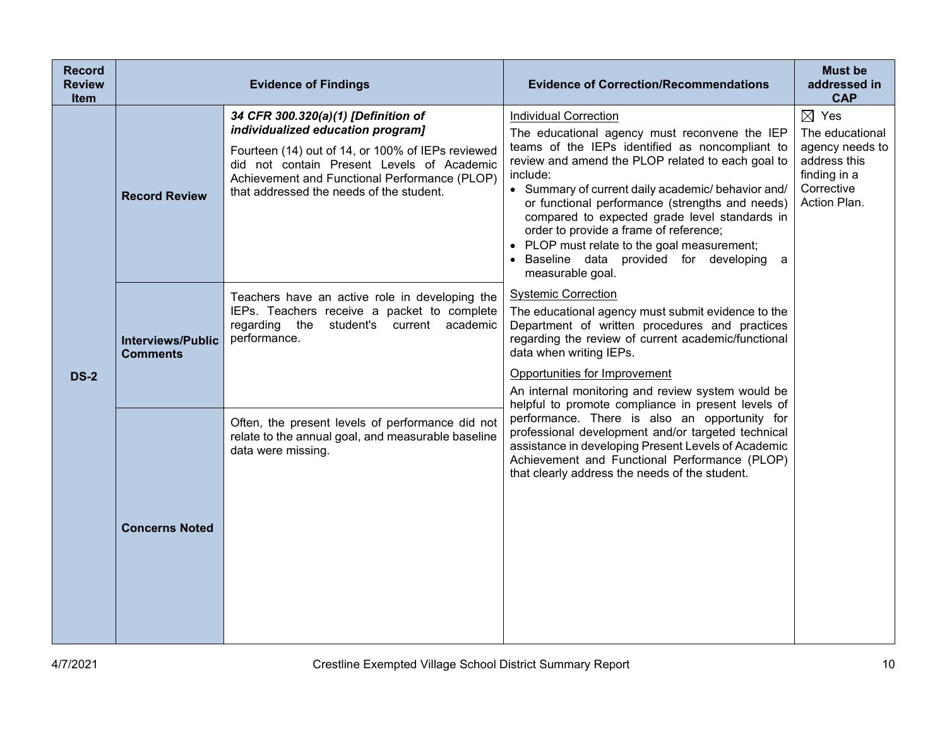| <b>Record</b><br><b>Review</b><br><b>Item</b> |                                             | <b>Evidence of Findings</b>                                                                                                                                                                                                                                              | <b>Evidence of Correction/Recommendations</b>                                                                                                                                                                                                                                                                                                                                                                                                                                                                          | <b>Must be</b><br>addressed in<br><b>CAP</b>                                                                        |
|-----------------------------------------------|---------------------------------------------|--------------------------------------------------------------------------------------------------------------------------------------------------------------------------------------------------------------------------------------------------------------------------|------------------------------------------------------------------------------------------------------------------------------------------------------------------------------------------------------------------------------------------------------------------------------------------------------------------------------------------------------------------------------------------------------------------------------------------------------------------------------------------------------------------------|---------------------------------------------------------------------------------------------------------------------|
|                                               | <b>Record Review</b>                        | 34 CFR 300.320(a)(1) [Definition of<br>individualized education program]<br>Fourteen (14) out of 14, or 100% of IEPs reviewed<br>did not contain Present Levels of Academic<br>Achievement and Functional Performance (PLOP)<br>that addressed the needs of the student. | <b>Individual Correction</b><br>The educational agency must reconvene the IEP<br>teams of the IEPs identified as noncompliant to<br>review and amend the PLOP related to each goal to<br>include:<br>• Summary of current daily academic/ behavior and/<br>or functional performance (strengths and needs)<br>compared to expected grade level standards in<br>order to provide a frame of reference;<br>PLOP must relate to the goal measurement;<br>· Baseline data provided for developing<br>a<br>measurable goal. | $\boxtimes$ Yes<br>The educational<br>agency needs to<br>address this<br>finding in a<br>Corrective<br>Action Plan. |
| <b>DS-2</b>                                   | <b>Interviews/Public</b><br><b>Comments</b> | Teachers have an active role in developing the<br>IEPs. Teachers receive a packet to complete<br>regarding the<br>student's current academic<br>performance.                                                                                                             | <b>Systemic Correction</b><br>The educational agency must submit evidence to the<br>Department of written procedures and practices<br>regarding the review of current academic/functional<br>data when writing IEPs.<br>Opportunities for Improvement<br>An internal monitoring and review system would be<br>helpful to promote compliance in present levels of                                                                                                                                                       |                                                                                                                     |
|                                               | <b>Concerns Noted</b>                       | Often, the present levels of performance did not<br>relate to the annual goal, and measurable baseline<br>data were missing.                                                                                                                                             | performance. There is also an opportunity for<br>professional development and/or targeted technical<br>assistance in developing Present Levels of Academic<br>Achievement and Functional Performance (PLOP)<br>that clearly address the needs of the student.                                                                                                                                                                                                                                                          |                                                                                                                     |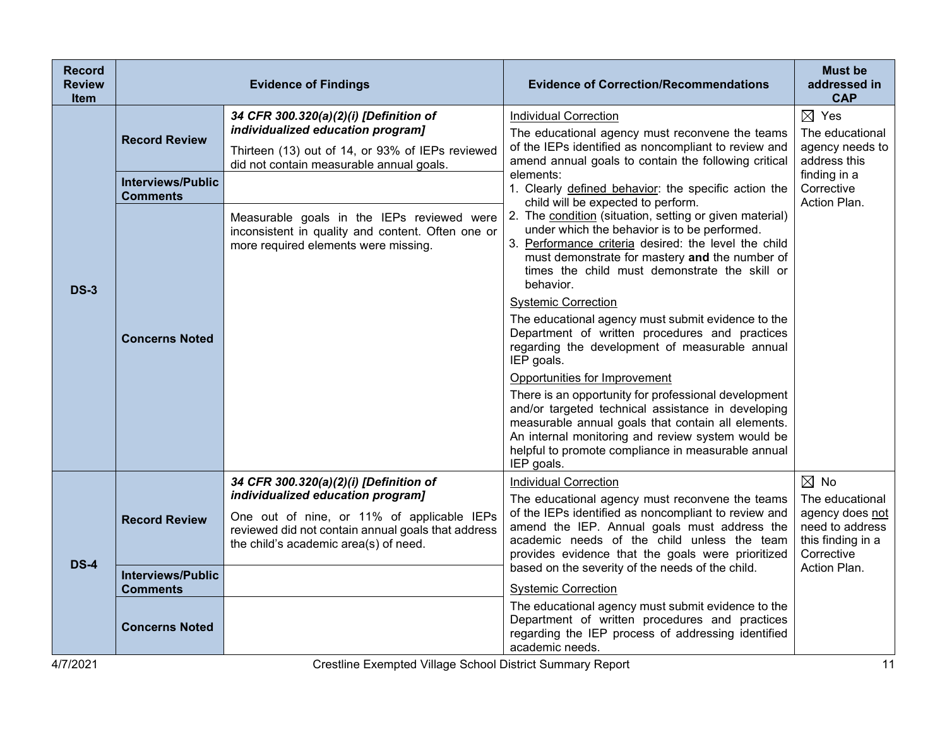| <b>Record</b><br><b>Review</b><br><b>Item</b> |                                             | <b>Evidence of Findings</b>                                                                                                                                                    | <b>Evidence of Correction/Recommendations</b>                                                                                                                                                                                                                                                                                                                                                                                                                                                                                                                                                                                                                                                                                                                                                       | <b>Must be</b><br>addressed in<br><b>CAP</b>                                             |
|-----------------------------------------------|---------------------------------------------|--------------------------------------------------------------------------------------------------------------------------------------------------------------------------------|-----------------------------------------------------------------------------------------------------------------------------------------------------------------------------------------------------------------------------------------------------------------------------------------------------------------------------------------------------------------------------------------------------------------------------------------------------------------------------------------------------------------------------------------------------------------------------------------------------------------------------------------------------------------------------------------------------------------------------------------------------------------------------------------------------|------------------------------------------------------------------------------------------|
| <b>DS-3</b>                                   | <b>Record Review</b>                        | 34 CFR 300.320(a)(2)(i) [Definition of<br>individualized education program]<br>Thirteen (13) out of 14, or 93% of IEPs reviewed<br>did not contain measurable annual goals.    | <b>Individual Correction</b><br>The educational agency must reconvene the teams<br>of the IEPs identified as noncompliant to review and<br>amend annual goals to contain the following critical<br>elements:<br>1. Clearly defined behavior: the specific action the<br>child will be expected to perform.<br>2. The condition (situation, setting or given material)<br>under which the behavior is to be performed.<br>3. Performance criteria desired: the level the child<br>must demonstrate for mastery and the number of<br>times the child must demonstrate the skill or<br>behavior.<br><b>Systemic Correction</b><br>The educational agency must submit evidence to the<br>Department of written procedures and practices<br>regarding the development of measurable annual<br>IEP goals. | $\boxtimes$ Yes<br>The educational<br>agency needs to<br>address this                    |
|                                               | <b>Interviews/Public</b><br><b>Comments</b> |                                                                                                                                                                                |                                                                                                                                                                                                                                                                                                                                                                                                                                                                                                                                                                                                                                                                                                                                                                                                     | finding in a<br>Corrective                                                               |
|                                               |                                             | Measurable goals in the IEPs reviewed were<br>inconsistent in quality and content. Often one or<br>more required elements were missing.                                        |                                                                                                                                                                                                                                                                                                                                                                                                                                                                                                                                                                                                                                                                                                                                                                                                     | Action Plan.                                                                             |
|                                               | <b>Concerns Noted</b>                       |                                                                                                                                                                                |                                                                                                                                                                                                                                                                                                                                                                                                                                                                                                                                                                                                                                                                                                                                                                                                     |                                                                                          |
|                                               |                                             |                                                                                                                                                                                | Opportunities for Improvement<br>There is an opportunity for professional development<br>and/or targeted technical assistance in developing<br>measurable annual goals that contain all elements.<br>An internal monitoring and review system would be<br>helpful to promote compliance in measurable annual<br>IEP goals.                                                                                                                                                                                                                                                                                                                                                                                                                                                                          |                                                                                          |
|                                               |                                             | 34 CFR 300.320(a)(2)(i) [Definition of                                                                                                                                         | <b>Individual Correction</b>                                                                                                                                                                                                                                                                                                                                                                                                                                                                                                                                                                                                                                                                                                                                                                        | $\boxtimes$ No                                                                           |
|                                               | <b>Record Review</b>                        | individualized education program]<br>One out of nine, or 11% of applicable IEPs<br>reviewed did not contain annual goals that address<br>the child's academic area(s) of need. | The educational agency must reconvene the teams<br>of the IEPs identified as noncompliant to review and<br>amend the IEP. Annual goals must address the<br>academic needs of the child unless the team<br>provides evidence that the goals were prioritized                                                                                                                                                                                                                                                                                                                                                                                                                                                                                                                                         | The educational<br>agency does not<br>need to address<br>this finding in a<br>Corrective |
| <b>DS-4</b>                                   | <b>Interviews/Public</b><br>Comments        |                                                                                                                                                                                | based on the severity of the needs of the child.<br><b>Systemic Correction</b>                                                                                                                                                                                                                                                                                                                                                                                                                                                                                                                                                                                                                                                                                                                      | Action Plan.                                                                             |
|                                               | <b>Concerns Noted</b>                       |                                                                                                                                                                                | The educational agency must submit evidence to the<br>Department of written procedures and practices<br>regarding the IEP process of addressing identified<br>academic needs.                                                                                                                                                                                                                                                                                                                                                                                                                                                                                                                                                                                                                       |                                                                                          |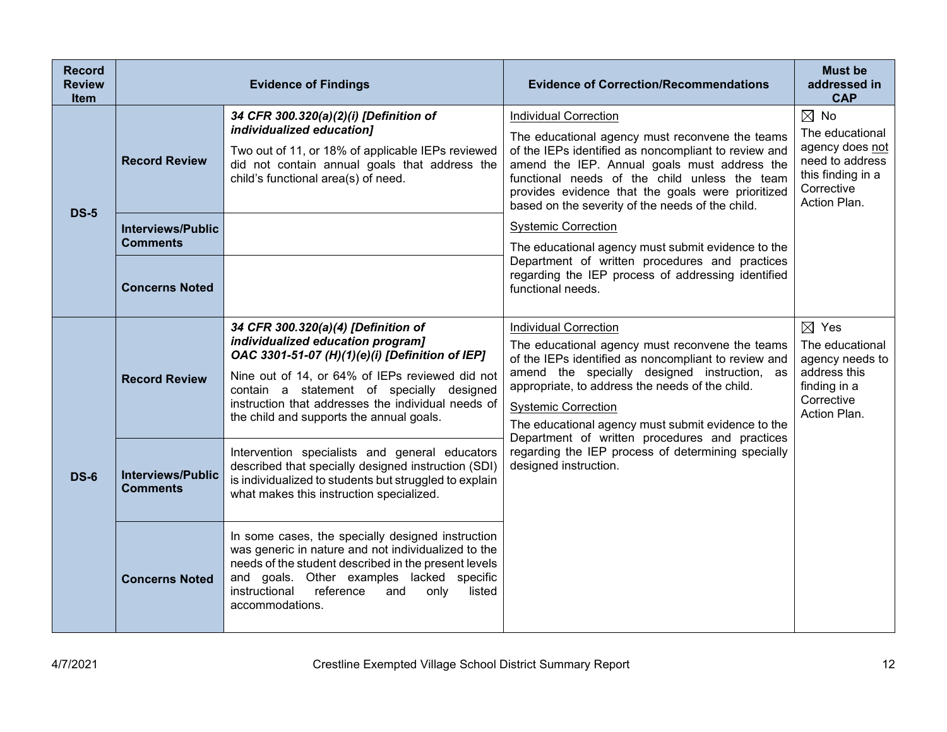| <b>Record</b><br><b>Review</b><br><b>Item</b> |                                                                     | <b>Evidence of Findings</b>                                                                                                                                                                                                                                                                                                   | <b>Evidence of Correction/Recommendations</b>                                                                                                                                                                                                                                                                                                                                                                                                                                           | <b>Must be</b><br>addressed in<br><b>CAP</b>                                                                               |
|-----------------------------------------------|---------------------------------------------------------------------|-------------------------------------------------------------------------------------------------------------------------------------------------------------------------------------------------------------------------------------------------------------------------------------------------------------------------------|-----------------------------------------------------------------------------------------------------------------------------------------------------------------------------------------------------------------------------------------------------------------------------------------------------------------------------------------------------------------------------------------------------------------------------------------------------------------------------------------|----------------------------------------------------------------------------------------------------------------------------|
| <b>DS-5</b>                                   | <b>Record Review</b><br><b>Interviews/Public</b><br><b>Comments</b> | 34 CFR 300.320(a)(2)(i) [Definition of<br>individualized education]<br>Two out of 11, or 18% of applicable IEPs reviewed<br>did not contain annual goals that address the<br>child's functional area(s) of need.                                                                                                              | <b>Individual Correction</b><br>The educational agency must reconvene the teams<br>of the IEPs identified as noncompliant to review and<br>amend the IEP. Annual goals must address the<br>functional needs of the child unless the team<br>provides evidence that the goals were prioritized<br>based on the severity of the needs of the child.<br><b>Systemic Correction</b><br>The educational agency must submit evidence to the<br>Department of written procedures and practices | $\boxtimes$ No<br>The educational<br>agency does not<br>need to address<br>this finding in a<br>Corrective<br>Action Plan. |
|                                               | <b>Concerns Noted</b>                                               |                                                                                                                                                                                                                                                                                                                               | regarding the IEP process of addressing identified<br>functional needs.                                                                                                                                                                                                                                                                                                                                                                                                                 |                                                                                                                            |
| <b>DS-6</b>                                   | <b>Record Review</b>                                                | 34 CFR 300.320(a)(4) [Definition of<br>individualized education program]<br>OAC 3301-51-07 (H)(1)(e)(i) [Definition of IEP]<br>Nine out of 14, or 64% of IEPs reviewed did not<br>contain a statement of specially designed<br>instruction that addresses the individual needs of<br>the child and supports the annual goals. | <b>Individual Correction</b><br>The educational agency must reconvene the teams<br>of the IEPs identified as noncompliant to review and<br>amend the specially designed instruction, as<br>appropriate, to address the needs of the child.<br><b>Systemic Correction</b><br>The educational agency must submit evidence to the                                                                                                                                                          | $\boxtimes$ Yes<br>The educational<br>agency needs to<br>address this<br>finding in a<br>Corrective<br>Action Plan.        |
|                                               | <b>Interviews/Public</b><br><b>Comments</b>                         | Intervention specialists and general educators<br>described that specially designed instruction (SDI)<br>is individualized to students but struggled to explain<br>what makes this instruction specialized.                                                                                                                   | Department of written procedures and practices<br>regarding the IEP process of determining specially<br>designed instruction.                                                                                                                                                                                                                                                                                                                                                           |                                                                                                                            |
|                                               | <b>Concerns Noted</b>                                               | In some cases, the specially designed instruction<br>was generic in nature and not individualized to the<br>needs of the student described in the present levels<br>and goals. Other examples lacked specific<br>instructional<br>reference<br>and<br>only<br>listed<br>accommodations.                                       |                                                                                                                                                                                                                                                                                                                                                                                                                                                                                         |                                                                                                                            |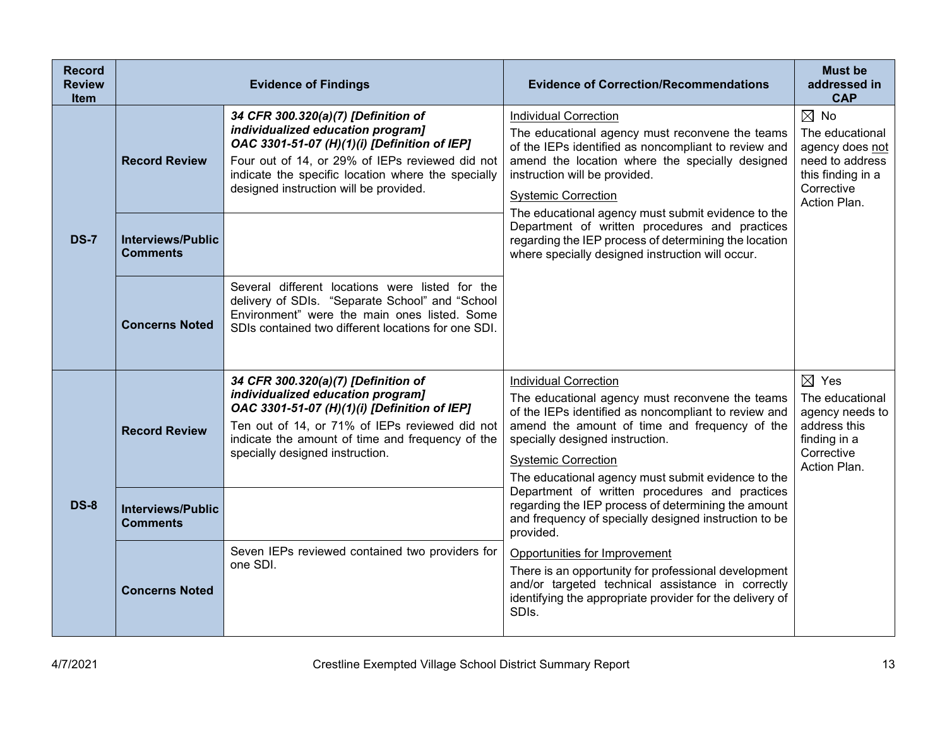| <b>Record</b><br><b>Review</b><br><b>Item</b> |                                             | <b>Evidence of Findings</b>                                                                                                                                                                                                                                                 | <b>Evidence of Correction/Recommendations</b>                                                                                                                                                                                                                                                                   | <b>Must be</b><br>addressed in<br><b>CAP</b>                                                                               |
|-----------------------------------------------|---------------------------------------------|-----------------------------------------------------------------------------------------------------------------------------------------------------------------------------------------------------------------------------------------------------------------------------|-----------------------------------------------------------------------------------------------------------------------------------------------------------------------------------------------------------------------------------------------------------------------------------------------------------------|----------------------------------------------------------------------------------------------------------------------------|
|                                               | <b>Record Review</b>                        | 34 CFR 300.320(a)(7) [Definition of<br>individualized education program]<br>OAC 3301-51-07 (H)(1)(i) [Definition of IEP]<br>Four out of 14, or 29% of IEPs reviewed did not<br>indicate the specific location where the specially<br>designed instruction will be provided. | <b>Individual Correction</b><br>The educational agency must reconvene the teams<br>of the IEPs identified as noncompliant to review and<br>amend the location where the specially designed<br>instruction will be provided.<br><b>Systemic Correction</b><br>The educational agency must submit evidence to the | $\boxtimes$ No<br>The educational<br>agency does not<br>need to address<br>this finding in a<br>Corrective<br>Action Plan. |
| <b>DS-7</b>                                   | <b>Interviews/Public</b><br><b>Comments</b> |                                                                                                                                                                                                                                                                             | Department of written procedures and practices<br>regarding the IEP process of determining the location<br>where specially designed instruction will occur.                                                                                                                                                     |                                                                                                                            |
|                                               | <b>Concerns Noted</b>                       | Several different locations were listed for the<br>delivery of SDIs. "Separate School" and "School<br>Environment" were the main ones listed. Some<br>SDIs contained two different locations for one SDI.                                                                   |                                                                                                                                                                                                                                                                                                                 |                                                                                                                            |
|                                               | <b>Record Review</b>                        | 34 CFR 300.320(a)(7) [Definition of<br>individualized education program]<br>OAC 3301-51-07 (H)(1)(i) [Definition of IEP]<br>Ten out of 14, or 71% of IEPs reviewed did not<br>indicate the amount of time and frequency of the<br>specially designed instruction.           | <b>Individual Correction</b><br>The educational agency must reconvene the teams<br>of the IEPs identified as noncompliant to review and<br>amend the amount of time and frequency of the<br>specially designed instruction.<br><b>Systemic Correction</b><br>The educational agency must submit evidence to the | $\boxtimes$ Yes<br>The educational<br>agency needs to<br>address this<br>finding in a<br>Corrective<br>Action Plan.        |
| <b>DS-8</b>                                   | <b>Interviews/Public</b><br><b>Comments</b> |                                                                                                                                                                                                                                                                             | Department of written procedures and practices<br>regarding the IEP process of determining the amount<br>and frequency of specially designed instruction to be<br>provided.                                                                                                                                     |                                                                                                                            |
|                                               | <b>Concerns Noted</b>                       | Seven IEPs reviewed contained two providers for<br>one SDI.                                                                                                                                                                                                                 | Opportunities for Improvement<br>There is an opportunity for professional development<br>and/or targeted technical assistance in correctly<br>identifying the appropriate provider for the delivery of<br>SDIs.                                                                                                 |                                                                                                                            |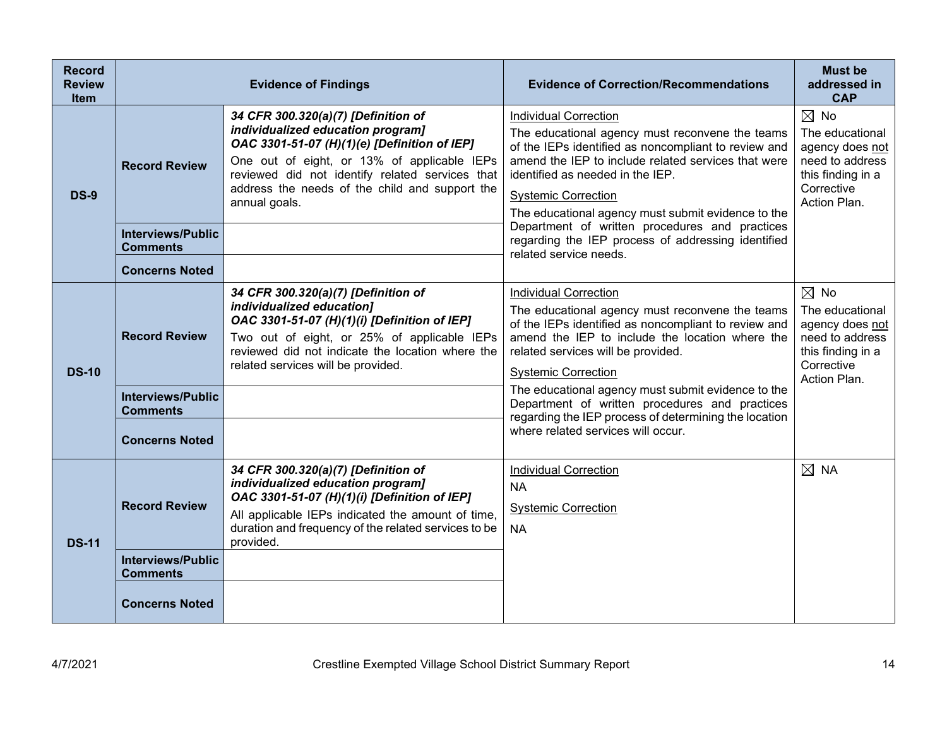| <b>Record</b><br><b>Review</b><br><b>Item</b> |                                                                      | <b>Evidence of Findings</b>                                                                                                                                                                                                                                                                   | <b>Evidence of Correction/Recommendations</b>                                                                                                                                                                                                                                                                                                                            | <b>Must be</b><br>addressed in<br><b>CAP</b>                                                                               |
|-----------------------------------------------|----------------------------------------------------------------------|-----------------------------------------------------------------------------------------------------------------------------------------------------------------------------------------------------------------------------------------------------------------------------------------------|--------------------------------------------------------------------------------------------------------------------------------------------------------------------------------------------------------------------------------------------------------------------------------------------------------------------------------------------------------------------------|----------------------------------------------------------------------------------------------------------------------------|
| <b>DS-9</b>                                   | <b>Record Review</b>                                                 | 34 CFR 300.320(a)(7) [Definition of<br>individualized education program]<br>OAC 3301-51-07 (H)(1)(e) [Definition of IEP]<br>One out of eight, or 13% of applicable IEPs<br>reviewed did not identify related services that<br>address the needs of the child and support the<br>annual goals. | <b>Individual Correction</b><br>The educational agency must reconvene the teams<br>of the IEPs identified as noncompliant to review and<br>amend the IEP to include related services that were<br>identified as needed in the IEP.<br><b>Systemic Correction</b><br>The educational agency must submit evidence to the<br>Department of written procedures and practices | $\boxtimes$ No<br>The educational<br>agency does not<br>need to address<br>this finding in a<br>Corrective<br>Action Plan. |
|                                               | <b>Interviews/Public</b><br><b>Comments</b><br><b>Concerns Noted</b> |                                                                                                                                                                                                                                                                                               | regarding the IEP process of addressing identified<br>related service needs.                                                                                                                                                                                                                                                                                             |                                                                                                                            |
| <b>DS-10</b>                                  | <b>Record Review</b>                                                 | 34 CFR 300.320(a)(7) [Definition of<br>individualized education]<br>OAC 3301-51-07 (H)(1)(i) [Definition of IEP]<br>Two out of eight, or 25% of applicable IEPs<br>reviewed did not indicate the location where the<br>related services will be provided.                                     | <b>Individual Correction</b><br>The educational agency must reconvene the teams<br>of the IEPs identified as noncompliant to review and<br>amend the IEP to include the location where the<br>related services will be provided.<br><b>Systemic Correction</b>                                                                                                           | $\boxtimes$ No<br>The educational<br>agency does not<br>need to address<br>this finding in a<br>Corrective<br>Action Plan. |
|                                               | <b>Interviews/Public</b><br><b>Comments</b><br><b>Concerns Noted</b> |                                                                                                                                                                                                                                                                                               | The educational agency must submit evidence to the<br>Department of written procedures and practices<br>regarding the IEP process of determining the location<br>where related services will occur.                                                                                                                                                                      |                                                                                                                            |
| <b>DS-11</b>                                  | <b>Record Review</b>                                                 | 34 CFR 300.320(a)(7) [Definition of<br>individualized education program]<br>OAC 3301-51-07 (H)(1)(i) [Definition of IEP]<br>All applicable IEPs indicated the amount of time,<br>duration and frequency of the related services to be<br>provided.                                            | <b>Individual Correction</b><br><b>NA</b><br><b>Systemic Correction</b><br><b>NA</b>                                                                                                                                                                                                                                                                                     | $\boxtimes$ NA                                                                                                             |
|                                               | <b>Interviews/Public</b><br><b>Comments</b><br><b>Concerns Noted</b> |                                                                                                                                                                                                                                                                                               |                                                                                                                                                                                                                                                                                                                                                                          |                                                                                                                            |
|                                               |                                                                      |                                                                                                                                                                                                                                                                                               |                                                                                                                                                                                                                                                                                                                                                                          |                                                                                                                            |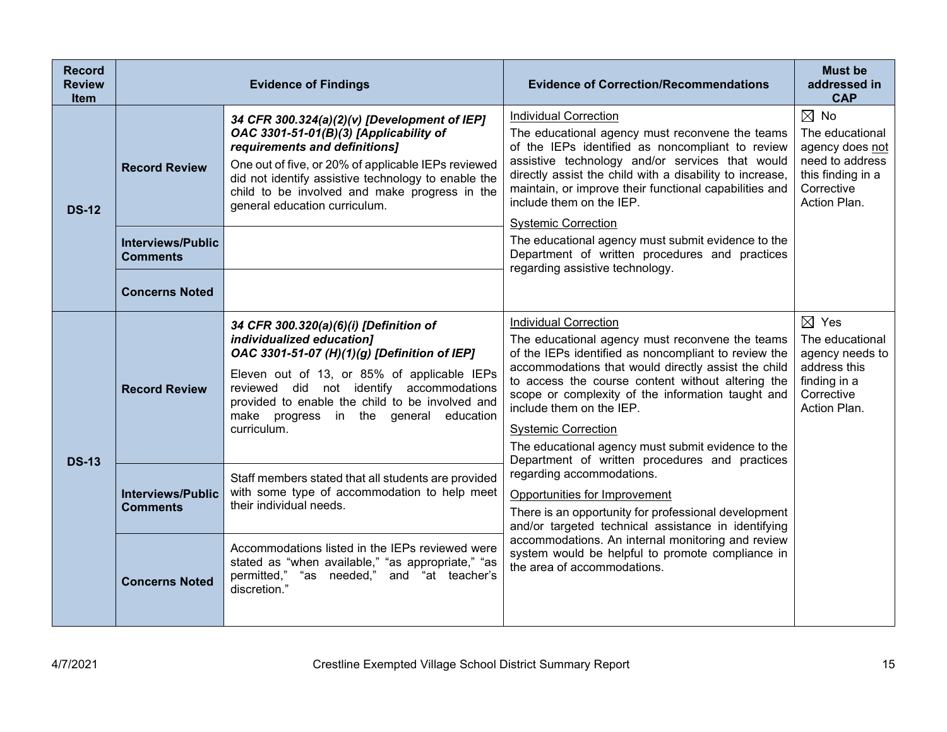| <b>Record</b><br><b>Review</b><br><b>Item</b> |                                                                      | <b>Evidence of Findings</b>                                                                                                                                                                                                                                                                                                | <b>Evidence of Correction/Recommendations</b>                                                                                                                                                                                                                                                                                                                                                                                                                              | <b>Must be</b><br>addressed in<br><b>CAP</b>                                                                               |
|-----------------------------------------------|----------------------------------------------------------------------|----------------------------------------------------------------------------------------------------------------------------------------------------------------------------------------------------------------------------------------------------------------------------------------------------------------------------|----------------------------------------------------------------------------------------------------------------------------------------------------------------------------------------------------------------------------------------------------------------------------------------------------------------------------------------------------------------------------------------------------------------------------------------------------------------------------|----------------------------------------------------------------------------------------------------------------------------|
| <b>DS-12</b>                                  | <b>Record Review</b>                                                 | 34 CFR 300.324(a)(2)(v) [Development of IEP]<br>OAC 3301-51-01(B)(3) [Applicability of<br>requirements and definitions]<br>One out of five, or 20% of applicable IEPs reviewed<br>did not identify assistive technology to enable the<br>child to be involved and make progress in the<br>general education curriculum.    | <b>Individual Correction</b><br>The educational agency must reconvene the teams<br>of the IEPs identified as noncompliant to review<br>assistive technology and/or services that would<br>directly assist the child with a disability to increase,<br>maintain, or improve their functional capabilities and<br>include them on the IEP.<br><b>Systemic Correction</b>                                                                                                     | $\boxtimes$ No<br>The educational<br>agency does not<br>need to address<br>this finding in a<br>Corrective<br>Action Plan. |
|                                               | <b>Interviews/Public</b><br><b>Comments</b><br><b>Concerns Noted</b> |                                                                                                                                                                                                                                                                                                                            | The educational agency must submit evidence to the<br>Department of written procedures and practices<br>regarding assistive technology.                                                                                                                                                                                                                                                                                                                                    |                                                                                                                            |
| <b>DS-13</b>                                  | <b>Record Review</b>                                                 | 34 CFR 300.320(a)(6)(i) [Definition of<br>individualized education]<br>OAC 3301-51-07 (H)(1)(g) [Definition of IEP]<br>Eleven out of 13, or 85% of applicable IEPs<br>reviewed did not identify accommodations<br>provided to enable the child to be involved and<br>make progress in the general education<br>curriculum. | <b>Individual Correction</b><br>The educational agency must reconvene the teams<br>of the IEPs identified as noncompliant to review the<br>accommodations that would directly assist the child<br>to access the course content without altering the<br>scope or complexity of the information taught and<br>include them on the IEP.<br><b>Systemic Correction</b><br>The educational agency must submit evidence to the<br>Department of written procedures and practices | $\boxtimes$ Yes<br>The educational<br>agency needs to<br>address this<br>finding in a<br>Corrective<br>Action Plan.        |
|                                               | <b>Interviews/Public</b><br><b>Comments</b>                          | Staff members stated that all students are provided<br>with some type of accommodation to help meet<br>their individual needs.                                                                                                                                                                                             | regarding accommodations.<br>Opportunities for Improvement<br>There is an opportunity for professional development<br>and/or targeted technical assistance in identifying                                                                                                                                                                                                                                                                                                  |                                                                                                                            |
|                                               | <b>Concerns Noted</b>                                                | Accommodations listed in the IEPs reviewed were<br>stated as "when available," "as appropriate," "as<br>permitted," "as needed," and "at teacher's<br>discretion."                                                                                                                                                         | accommodations. An internal monitoring and review<br>system would be helpful to promote compliance in<br>the area of accommodations.                                                                                                                                                                                                                                                                                                                                       |                                                                                                                            |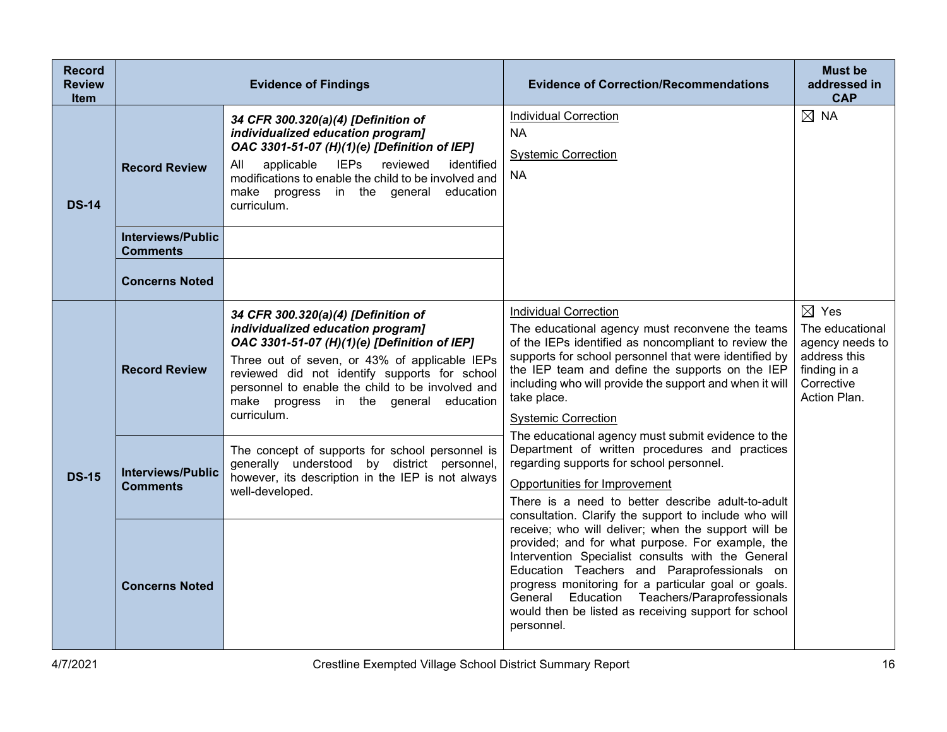| <b>Record</b><br><b>Review</b><br><b>Item</b> | <b>Evidence of Findings</b>                 |                                                                                                                                                                                                                                                                                                                                         | <b>Evidence of Correction/Recommendations</b>                                                                                                                                                                                                                                                                                                                                            | <b>Must be</b><br>addressed in<br><b>CAP</b>                                                                        |
|-----------------------------------------------|---------------------------------------------|-----------------------------------------------------------------------------------------------------------------------------------------------------------------------------------------------------------------------------------------------------------------------------------------------------------------------------------------|------------------------------------------------------------------------------------------------------------------------------------------------------------------------------------------------------------------------------------------------------------------------------------------------------------------------------------------------------------------------------------------|---------------------------------------------------------------------------------------------------------------------|
| <b>DS-14</b>                                  | <b>Record Review</b>                        | 34 CFR 300.320(a)(4) [Definition of<br>individualized education program]<br>OAC 3301-51-07 (H)(1)(e) [Definition of IEP]<br>applicable IEPs reviewed<br>identified<br>All<br>modifications to enable the child to be involved and<br>make progress in the general<br>education<br>curriculum.                                           | <b>Individual Correction</b><br><b>NA</b><br><b>Systemic Correction</b><br><b>NA</b>                                                                                                                                                                                                                                                                                                     | $\boxtimes$ NA                                                                                                      |
|                                               | <b>Interviews/Public</b><br><b>Comments</b> |                                                                                                                                                                                                                                                                                                                                         |                                                                                                                                                                                                                                                                                                                                                                                          |                                                                                                                     |
|                                               | <b>Concerns Noted</b>                       |                                                                                                                                                                                                                                                                                                                                         |                                                                                                                                                                                                                                                                                                                                                                                          |                                                                                                                     |
|                                               | <b>Record Review</b>                        | 34 CFR 300.320(a)(4) [Definition of<br>individualized education program]<br>OAC 3301-51-07 (H)(1)(e) [Definition of IEP]<br>Three out of seven, or 43% of applicable IEPs<br>reviewed did not identify supports for school<br>personnel to enable the child to be involved and<br>make progress in the general education<br>curriculum. | <b>Individual Correction</b><br>The educational agency must reconvene the teams<br>of the IEPs identified as noncompliant to review the<br>supports for school personnel that were identified by<br>the IEP team and define the supports on the IEP<br>including who will provide the support and when it will<br>take place.<br><b>Systemic Correction</b>                              | $\boxtimes$ Yes<br>The educational<br>agency needs to<br>address this<br>finding in a<br>Corrective<br>Action Plan. |
| <b>DS-15</b>                                  | <b>Interviews/Public</b><br><b>Comments</b> | The concept of supports for school personnel is<br>generally understood by district personnel,<br>however, its description in the IEP is not always<br>well-developed.                                                                                                                                                                  | The educational agency must submit evidence to the<br>Department of written procedures and practices<br>regarding supports for school personnel.<br>Opportunities for Improvement<br>There is a need to better describe adult-to-adult<br>consultation. Clarify the support to include who will                                                                                          |                                                                                                                     |
|                                               | <b>Concerns Noted</b>                       |                                                                                                                                                                                                                                                                                                                                         | receive; who will deliver; when the support will be<br>provided; and for what purpose. For example, the<br>Intervention Specialist consults with the General<br>Education Teachers and Paraprofessionals on<br>progress monitoring for a particular goal or goals.<br>General Education Teachers/Paraprofessionals<br>would then be listed as receiving support for school<br>personnel. |                                                                                                                     |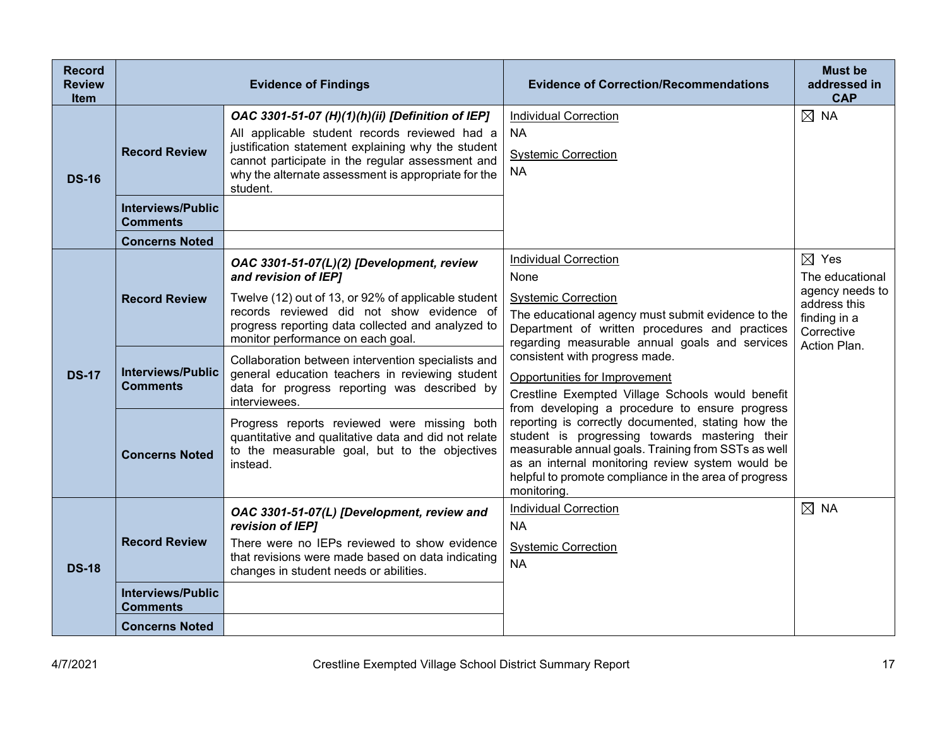| <b>Record</b><br><b>Review</b><br><b>Item</b> | <b>Evidence of Findings</b>                                                                  |                                                                                                                                                                                                                                                                                                                                                                                                                                                                                                                                                                                                               | <b>Evidence of Correction/Recommendations</b>                                                                                                                                                                                                                                                                                                                                                                                                                                                                                                                                                                                                                                     | <b>Must be</b><br>addressed in<br><b>CAP</b>                                                                        |
|-----------------------------------------------|----------------------------------------------------------------------------------------------|---------------------------------------------------------------------------------------------------------------------------------------------------------------------------------------------------------------------------------------------------------------------------------------------------------------------------------------------------------------------------------------------------------------------------------------------------------------------------------------------------------------------------------------------------------------------------------------------------------------|-----------------------------------------------------------------------------------------------------------------------------------------------------------------------------------------------------------------------------------------------------------------------------------------------------------------------------------------------------------------------------------------------------------------------------------------------------------------------------------------------------------------------------------------------------------------------------------------------------------------------------------------------------------------------------------|---------------------------------------------------------------------------------------------------------------------|
| <b>DS-16</b>                                  | <b>Record Review</b>                                                                         | OAC 3301-51-07 (H)(1)(h)(ii) [Definition of IEP]<br>All applicable student records reviewed had a<br>justification statement explaining why the student<br>cannot participate in the regular assessment and<br>why the alternate assessment is appropriate for the<br>student.                                                                                                                                                                                                                                                                                                                                | <b>Individual Correction</b><br>NA.<br><b>Systemic Correction</b><br><b>NA</b>                                                                                                                                                                                                                                                                                                                                                                                                                                                                                                                                                                                                    | $\boxtimes$ NA                                                                                                      |
|                                               | <b>Interviews/Public</b><br><b>Comments</b>                                                  |                                                                                                                                                                                                                                                                                                                                                                                                                                                                                                                                                                                                               |                                                                                                                                                                                                                                                                                                                                                                                                                                                                                                                                                                                                                                                                                   |                                                                                                                     |
|                                               | <b>Concerns Noted</b>                                                                        |                                                                                                                                                                                                                                                                                                                                                                                                                                                                                                                                                                                                               |                                                                                                                                                                                                                                                                                                                                                                                                                                                                                                                                                                                                                                                                                   |                                                                                                                     |
| <b>DS-17</b>                                  | <b>Record Review</b><br><b>Interviews/Public</b><br><b>Comments</b><br><b>Concerns Noted</b> | OAC 3301-51-07(L)(2) [Development, review<br>and revision of IEP]<br>Twelve (12) out of 13, or 92% of applicable student<br>records reviewed did not show evidence of<br>progress reporting data collected and analyzed to<br>monitor performance on each goal.<br>Collaboration between intervention specialists and<br>general education teachers in reviewing student<br>data for progress reporting was described by<br>interviewees.<br>Progress reports reviewed were missing both<br>quantitative and qualitative data and did not relate<br>to the measurable goal, but to the objectives<br>instead. | <b>Individual Correction</b><br>None<br><b>Systemic Correction</b><br>The educational agency must submit evidence to the<br>Department of written procedures and practices<br>regarding measurable annual goals and services<br>consistent with progress made.<br>Opportunities for Improvement<br>Crestline Exempted Village Schools would benefit<br>from developing a procedure to ensure progress<br>reporting is correctly documented, stating how the<br>student is progressing towards mastering their<br>measurable annual goals. Training from SSTs as well<br>as an internal monitoring review system would be<br>helpful to promote compliance in the area of progress | $\boxtimes$ Yes<br>The educational<br>agency needs to<br>address this<br>finding in a<br>Corrective<br>Action Plan. |
|                                               |                                                                                              |                                                                                                                                                                                                                                                                                                                                                                                                                                                                                                                                                                                                               | monitoring.<br><b>Individual Correction</b>                                                                                                                                                                                                                                                                                                                                                                                                                                                                                                                                                                                                                                       | $\boxtimes$ NA                                                                                                      |
| <b>DS-18</b>                                  | <b>Record Review</b>                                                                         | OAC 3301-51-07(L) [Development, review and<br>revision of IEP]<br>There were no IEPs reviewed to show evidence<br>that revisions were made based on data indicating<br>changes in student needs or abilities.                                                                                                                                                                                                                                                                                                                                                                                                 | <b>NA</b><br><b>Systemic Correction</b><br><b>NA</b>                                                                                                                                                                                                                                                                                                                                                                                                                                                                                                                                                                                                                              |                                                                                                                     |
|                                               | <b>Interviews/Public</b><br><b>Comments</b>                                                  |                                                                                                                                                                                                                                                                                                                                                                                                                                                                                                                                                                                                               |                                                                                                                                                                                                                                                                                                                                                                                                                                                                                                                                                                                                                                                                                   |                                                                                                                     |
|                                               | <b>Concerns Noted</b>                                                                        |                                                                                                                                                                                                                                                                                                                                                                                                                                                                                                                                                                                                               |                                                                                                                                                                                                                                                                                                                                                                                                                                                                                                                                                                                                                                                                                   |                                                                                                                     |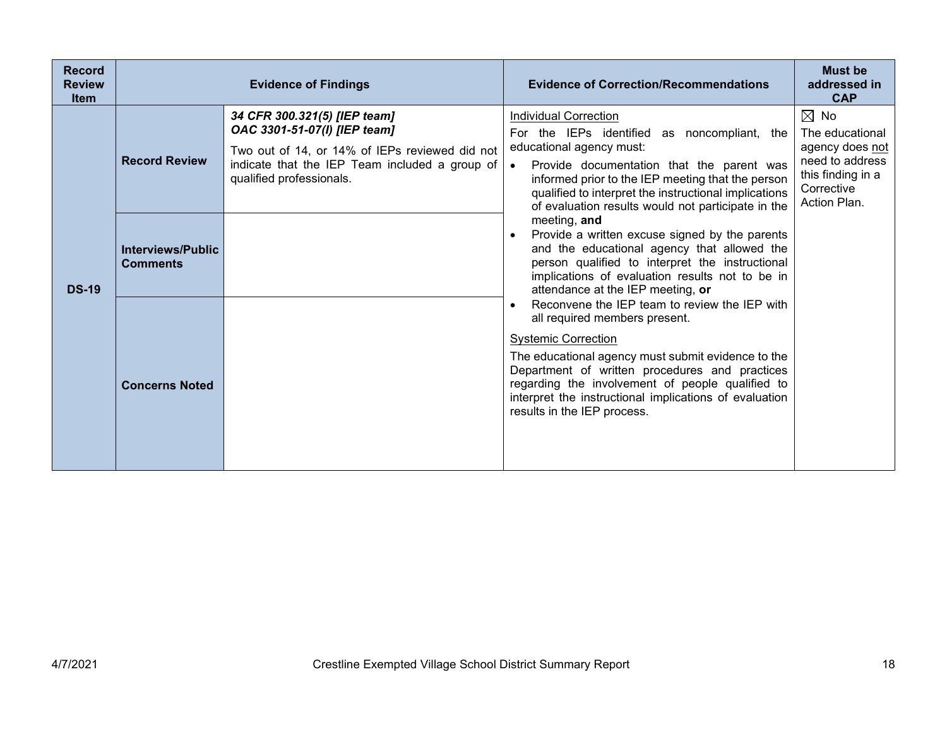| <b>Record</b><br><b>Review</b><br><b>Item</b> | <b>Evidence of Findings</b>          |                                                                                                                                                                                              | <b>Evidence of Correction/Recommendations</b>                                                                                                                                                                                                                                                                                                                                                                                                                                                                                                                                                                                                                                                                                                                                                                                                                                                                                                                           | <b>Must be</b><br>addressed in<br><b>CAP</b>                                                                               |
|-----------------------------------------------|--------------------------------------|----------------------------------------------------------------------------------------------------------------------------------------------------------------------------------------------|-------------------------------------------------------------------------------------------------------------------------------------------------------------------------------------------------------------------------------------------------------------------------------------------------------------------------------------------------------------------------------------------------------------------------------------------------------------------------------------------------------------------------------------------------------------------------------------------------------------------------------------------------------------------------------------------------------------------------------------------------------------------------------------------------------------------------------------------------------------------------------------------------------------------------------------------------------------------------|----------------------------------------------------------------------------------------------------------------------------|
| <b>DS-19</b>                                  | <b>Record Review</b>                 | 34 CFR 300.321(5) [IEP team]<br>OAC 3301-51-07(I) [IEP team]<br>Two out of 14, or 14% of IEPs reviewed did not<br>indicate that the IEP Team included a group of<br>qualified professionals. | <b>Individual Correction</b><br>For the IEPs identified as noncompliant, the<br>educational agency must:<br>Provide documentation that the parent was<br>$\bullet$<br>informed prior to the IEP meeting that the person<br>qualified to interpret the instructional implications<br>of evaluation results would not participate in the<br>meeting, and<br>Provide a written excuse signed by the parents<br>and the educational agency that allowed the<br>person qualified to interpret the instructional<br>implications of evaluation results not to be in<br>attendance at the IEP meeting, or<br>Reconvene the IEP team to review the IEP with<br>all required members present.<br><b>Systemic Correction</b><br>The educational agency must submit evidence to the<br>Department of written procedures and practices<br>regarding the involvement of people qualified to<br>interpret the instructional implications of evaluation<br>results in the IEP process. | $\boxtimes$ No<br>The educational<br>agency does not<br>need to address<br>this finding in a<br>Corrective<br>Action Plan. |
|                                               | Interviews/Public<br><b>Comments</b> |                                                                                                                                                                                              |                                                                                                                                                                                                                                                                                                                                                                                                                                                                                                                                                                                                                                                                                                                                                                                                                                                                                                                                                                         |                                                                                                                            |
|                                               | <b>Concerns Noted</b>                |                                                                                                                                                                                              |                                                                                                                                                                                                                                                                                                                                                                                                                                                                                                                                                                                                                                                                                                                                                                                                                                                                                                                                                                         |                                                                                                                            |